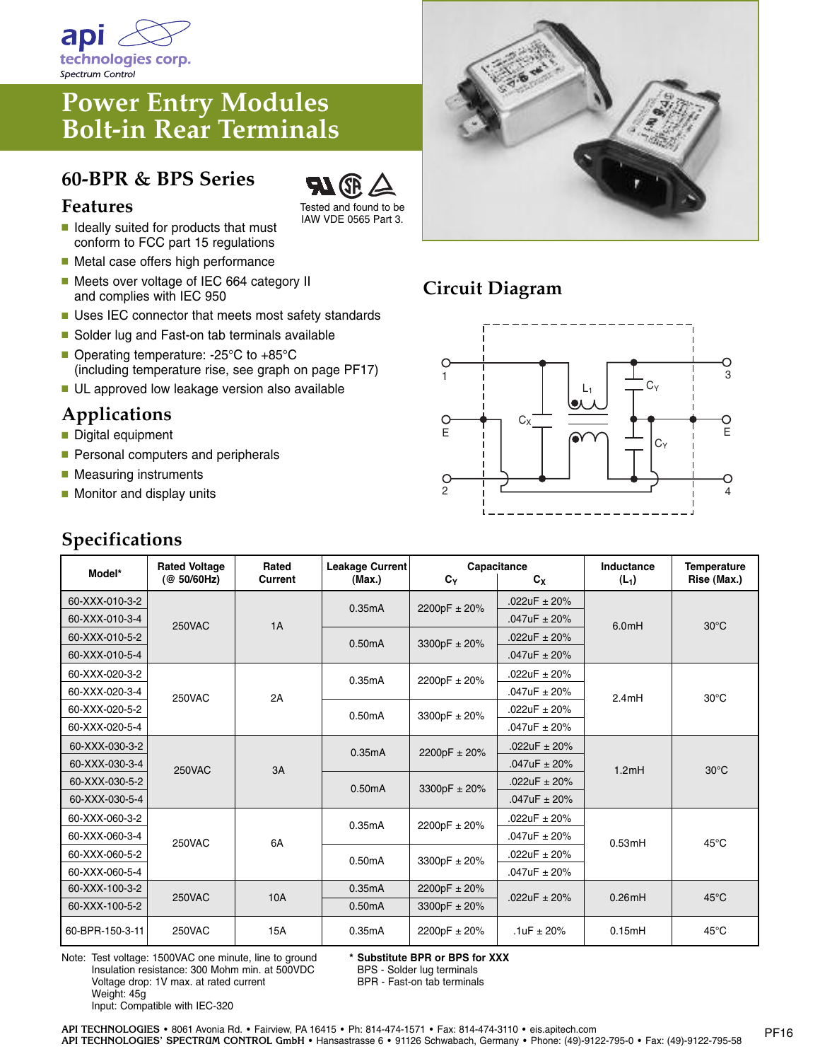

# **Power Entry Modules Bolt-in Rear Terminals**

# **60-BPR & BPS Series**



- **■** Ideally suited for products that must conform to FCC part 15 regulations
- Metal case offers high performance
- Meets over voltage of IEC 664 category II and complies with IEC 950
- Uses IEC connector that meets most safety standards
- Solder lug and Fast-on tab terminals available
- Operating temperature: -25°C to +85°C (including temperature rise, see graph on page PF17)
- UL approved low leakage version also available

### **Applications**

- **■** Digital equipment
- Personal computers and peripherals
- Measuring instruments
- Monitor and display units

## **Specifications**



Tested and found to be IAW VDE 0565 Part 3.



### **Circuit Diagram**



| Model*          | <b>Rated Voltage</b><br>(@ 50/60Hz) | Rated<br><b>Current</b> | Leakage Current<br>(Max.) | $c_{v}$          | Capacitance<br>$c_{x}$ | Inductance<br>$(L_1)$ | <b>Temperature</b><br>Rise (Max.) |
|-----------------|-------------------------------------|-------------------------|---------------------------|------------------|------------------------|-----------------------|-----------------------------------|
| 60-XXX-010-3-2  | <b>250VAC</b>                       | 1A                      | 0.35mA                    | 2200pF ± 20%     | .022uF $\pm$ 20%       | 6.0 <sub>m</sub> H    | $30^{\circ}$ C                    |
| 60-XXX-010-3-4  |                                     |                         |                           |                  | $.047uF \pm 20%$       |                       |                                   |
| 60-XXX-010-5-2  |                                     |                         | 0.50mA                    | 3300pF ± 20%     | .022uF $\pm$ 20%       |                       |                                   |
| 60-XXX-010-5-4  |                                     |                         |                           |                  | $.047uF \pm 20%$       |                       |                                   |
| 60-XXX-020-3-2  | <b>250VAC</b>                       | 2A                      | 0.35mA                    | 2200pF ± 20%     | $.022uF \pm 20%$       | 2.4mH                 | $30^{\circ}$ C                    |
| 60-XXX-020-3-4  |                                     |                         |                           |                  | $.047uF \pm 20%$       |                       |                                   |
| 60-XXX-020-5-2  |                                     |                         | 0.50mA                    | 3300pF ± 20%     | .022uF $\pm$ 20%       |                       |                                   |
| 60-XXX-020-5-4  |                                     |                         |                           |                  | $.047uF \pm 20%$       |                       |                                   |
| 60-XXX-030-3-2  | 250VAC                              | 3A                      | 0.35mA                    | 2200pF ± 20%     | .022uF $\pm$ 20%       | 1.2mH                 | $30^{\circ}$ C                    |
| 60-XXX-030-3-4  |                                     |                         |                           |                  | .047uF $\pm$ 20%       |                       |                                   |
| 60-XXX-030-5-2  |                                     |                         | 0.50mA                    | 3300pF ± 20%     | .022uF $\pm$ 20%       |                       |                                   |
| 60-XXX-030-5-4  |                                     |                         |                           |                  | $.047uF \pm 20%$       |                       |                                   |
| 60-XXX-060-3-2  | 250VAC                              | 6A                      | 0.35mA                    | 2200pF ± 20%     | .022uF $\pm$ 20%       | 0.53mH                | $45^{\circ}$ C                    |
| 60-XXX-060-3-4  |                                     |                         |                           |                  | $.047uF \pm 20%$       |                       |                                   |
| 60-XXX-060-5-2  |                                     |                         | 0.50mA                    | 3300pF ± 20%     | $.022uF \pm 20%$       |                       |                                   |
| 60-XXX-060-5-4  |                                     |                         |                           |                  | $.047uF \pm 20%$       |                       |                                   |
| 60-XXX-100-3-2  | <b>250VAC</b>                       | 10A                     | 0.35mA                    | 2200pF ± 20%     | .022uF $\pm$ 20%       | 0.26mH                | $45^{\circ}$ C                    |
| 60-XXX-100-5-2  |                                     |                         | 0.50mA                    | 3300pF $\pm$ 20% |                        |                       |                                   |
| 60-BPR-150-3-11 | 250VAC                              | 15A                     | 0.35mA                    | 2200pF ± 20%     | $.1uF \pm 20%$         | 0.15mH                | $45^{\circ}$ C                    |

Note: Test voltage: 1500VAC one minute, line to ground Insulation resistance: 300 Mohm min. at 500VDC Voltage drop: 1V max. at rated current Weight: 45g Input: Compatible with IEC-320

**\* Substitute BPR or BPS for XXX**

BPS - Solder lug terminals

BPR - Fast-on tab terminals